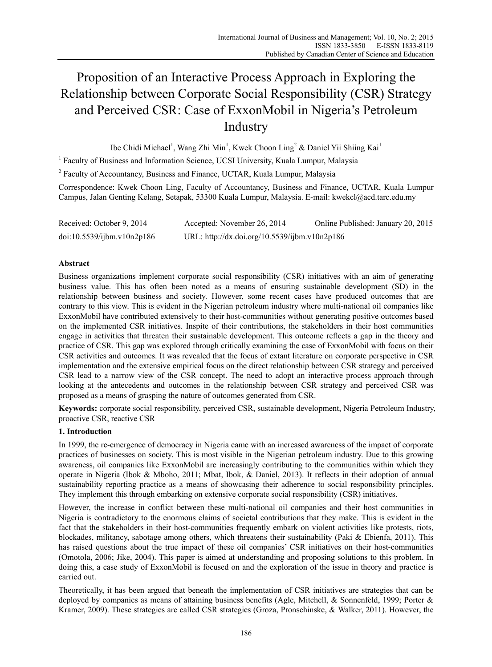# Proposition of an Interactive Process Approach in Exploring the Relationship between Corporate Social Responsibility (CSR) Strategy and Perceived CSR: Case of ExxonMobil in Nigeria's Petroleum Industry

Ibe Chidi Michael<sup>1</sup>, Wang Zhi Min<sup>1</sup>, Kwek Choon Ling<sup>2</sup> & Daniel Yii Shiing Kai<sup>1</sup>

<sup>1</sup> Faculty of Business and Information Science, UCSI University, Kuala Lumpur, Malaysia

<sup>2</sup> Faculty of Accountancy, Business and Finance, UCTAR, Kuala Lumpur, Malaysia

Correspondence: Kwek Choon Ling, Faculty of Accountancy, Business and Finance, UCTAR, Kuala Lumpur Campus, Jalan Genting Kelang, Setapak, 53300 Kuala Lumpur, Malaysia. E-mail: kwekcl@acd.tarc.edu.my

| Received: October 9, 2014  | Accepted: November 26, 2014                   | Online Published: January 20, 2015 |
|----------------------------|-----------------------------------------------|------------------------------------|
| doi:10.5539/ijbm.v10n2p186 | URL: http://dx.doi.org/10.5539/ijbm.v10n2p186 |                                    |

# **Abstract**

Business organizations implement corporate social responsibility (CSR) initiatives with an aim of generating business value. This has often been noted as a means of ensuring sustainable development (SD) in the relationship between business and society. However, some recent cases have produced outcomes that are contrary to this view. This is evident in the Nigerian petroleum industry where multi-national oil companies like ExxonMobil have contributed extensively to their host-communities without generating positive outcomes based on the implemented CSR initiatives. Inspite of their contributions, the stakeholders in their host communities engage in activities that threaten their sustainable development. This outcome reflects a gap in the theory and practice of CSR. This gap was explored through critically examining the case of ExxonMobil with focus on their CSR activities and outcomes. It was revealed that the focus of extant literature on corporate perspective in CSR implementation and the extensive empirical focus on the direct relationship between CSR strategy and perceived CSR lead to a narrow view of the CSR concept. The need to adopt an interactive process approach through looking at the antecedents and outcomes in the relationship between CSR strategy and perceived CSR was proposed as a means of grasping the nature of outcomes generated from CSR.

**Keywords:** corporate social responsibility, perceived CSR, sustainable development, Nigeria Petroleum Industry, proactive CSR, reactive CSR

# **1. Introduction**

In 1999, the re-emergence of democracy in Nigeria came with an increased awareness of the impact of corporate practices of businesses on society. This is most visible in the Nigerian petroleum industry. Due to this growing awareness, oil companies like ExxonMobil are increasingly contributing to the communities within which they operate in Nigeria (Ibok & Mboho, 2011; Mbat, Ibok, & Daniel, 2013). It reflects in their adoption of annual sustainability reporting practice as a means of showcasing their adherence to social responsibility principles. They implement this through embarking on extensive corporate social responsibility (CSR) initiatives.

However, the increase in conflict between these multi-national oil companies and their host communities in Nigeria is contradictory to the enormous claims of societal contributions that they make. This is evident in the fact that the stakeholders in their host-communities frequently embark on violent activities like protests, riots, blockades, militancy, sabotage among others, which threatens their sustainability (Paki & Ebienfa, 2011). This has raised questions about the true impact of these oil companies' CSR initiatives on their host-communities (Omotola, 2006; Jike, 2004). This paper is aimed at understanding and proposing solutions to this problem. In doing this, a case study of ExxonMobil is focused on and the exploration of the issue in theory and practice is carried out.

Theoretically, it has been argued that beneath the implementation of CSR initiatives are strategies that can be deployed by companies as means of attaining business benefits (Agle, Mitchell, & Sonnenfeld, 1999; Porter & Kramer, 2009). These strategies are called CSR strategies (Groza, Pronschinske, & Walker, 2011). However, the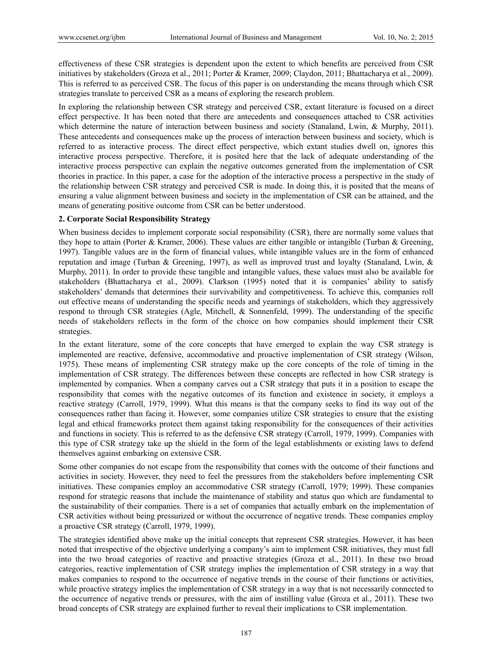effectiveness of these CSR strategies is dependent upon the extent to which benefits are perceived from CSR initiatives by stakeholders (Groza et al., 2011; Porter & Kramer, 2009; Claydon, 2011; Bhattacharya et al., 2009). This is referred to as perceived CSR. The focus of this paper is on understanding the means through which CSR strategies translate to perceived CSR as a means of exploring the research problem.

In exploring the relationship between CSR strategy and perceived CSR, extant literature is focused on a direct effect perspective. It has been noted that there are antecedents and consequences attached to CSR activities which determine the nature of interaction between business and society (Stanaland, Lwin, & Murphy, 2011). These antecedents and consequences make up the process of interaction between business and society, which is referred to as interactive process. The direct effect perspective, which extant studies dwell on, ignores this interactive process perspective. Therefore, it is posited here that the lack of adequate understanding of the interactive process perspective can explain the negative outcomes generated from the implementation of CSR theories in practice. In this paper, a case for the adoption of the interactive process a perspective in the study of the relationship between CSR strategy and perceived CSR is made. In doing this, it is posited that the means of ensuring a value alignment between business and society in the implementation of CSR can be attained, and the means of generating positive outcome from CSR can be better understood.

#### **2. Corporate Social Responsibility Strategy**

When business decides to implement corporate social responsibility (CSR), there are normally some values that they hope to attain (Porter & Kramer, 2006). These values are either tangible or intangible (Turban & Greening, 1997). Tangible values are in the form of financial values, while intangible values are in the form of enhanced reputation and image (Turban & Greening, 1997), as well as improved trust and loyalty (Stanaland, Lwin, & Murphy, 2011). In order to provide these tangible and intangible values, these values must also be available for stakeholders (Bhattacharya et al., 2009). Clarkson (1995) noted that it is companies' ability to satisfy stakeholders' demands that determines their survivability and competitiveness. To achieve this, companies roll out effective means of understanding the specific needs and yearnings of stakeholders, which they aggressively respond to through CSR strategies (Agle, Mitchell, & Sonnenfeld, 1999). The understanding of the specific needs of stakeholders reflects in the form of the choice on how companies should implement their CSR strategies.

In the extant literature, some of the core concepts that have emerged to explain the way CSR strategy is implemented are reactive, defensive, accommodative and proactive implementation of CSR strategy (Wilson, 1975). These means of implementing CSR strategy make up the core concepts of the role of timing in the implementation of CSR strategy. The differences between these concepts are reflected in how CSR strategy is implemented by companies. When a company carves out a CSR strategy that puts it in a position to escape the responsibility that comes with the negative outcomes of its function and existence in society, it employs a reactive strategy (Carroll, 1979, 1999). What this means is that the company seeks to find its way out of the consequences rather than facing it. However, some companies utilize CSR strategies to ensure that the existing legal and ethical frameworks protect them against taking responsibility for the consequences of their activities and functions in society. This is referred to as the defensive CSR strategy (Carroll, 1979, 1999). Companies with this type of CSR strategy take up the shield in the form of the legal establishments or existing laws to defend themselves against embarking on extensive CSR.

Some other companies do not escape from the responsibility that comes with the outcome of their functions and activities in society. However, they need to feel the pressures from the stakeholders before implementing CSR initiatives. These companies employ an accommodative CSR strategy (Carroll, 1979; 1999). These companies respond for strategic reasons that include the maintenance of stability and status quo which are fundamental to the sustainability of their companies. There is a set of companies that actually embark on the implementation of CSR activities without being pressurized or without the occurrence of negative trends. These companies employ a proactive CSR strategy (Carroll, 1979, 1999).

The strategies identified above make up the initial concepts that represent CSR strategies. However, it has been noted that irrespective of the objective underlying a company's aim to implement CSR initiatives, they must fall into the two broad categories of reactive and proactive strategies (Groza et al., 2011). In these two broad categories, reactive implementation of CSR strategy implies the implementation of CSR strategy in a way that makes companies to respond to the occurrence of negative trends in the course of their functions or activities, while proactive strategy implies the implementation of CSR strategy in a way that is not necessarily connected to the occurrence of negative trends or pressures, with the aim of instilling value (Groza et al., 2011). These two broad concepts of CSR strategy are explained further to reveal their implications to CSR implementation.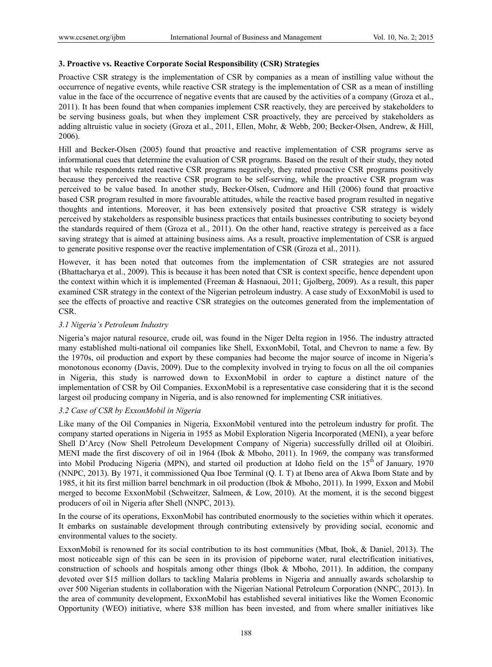# **3. Proactive vs. Reactive Corporate Social Responsibility (CSR) Strategies**

Proactive CSR strategy is the implementation of CSR by companies as a mean of instilling value without the occurrence of negative events, while reactive CSR strategy is the implementation of CSR as a mean of instilling value in the face of the occurrence of negative events that are caused by the activities of a company (Groza et al., 2011). It has been found that when companies implement CSR reactively, they are perceived by stakeholders to be serving business goals, but when they implement CSR proactively, they are perceived by stakeholders as adding altruistic value in society (Groza et al., 2011, Ellen, Mohr, & Webb, 200; Becker-Olsen, Andrew, & Hill, 2006).

Hill and Becker-Olsen (2005) found that proactive and reactive implementation of CSR programs serve as informational cues that determine the evaluation of CSR programs. Based on the result of their study, they noted that while respondents rated reactive CSR programs negatively, they rated proactive CSR programs positively because they perceived the reactive CSR program to be self-serving, while the proactive CSR program was perceived to be value based. In another study, Becker-Olsen, Cudmore and Hill (2006) found that proactive based CSR program resulted in more favourable attitudes, while the reactive based program resulted in negative thoughts and intentions. Moreover, it has been extensively posited that proactive CSR strategy is widely perceived by stakeholders as responsible business practices that entails businesses contributing to society beyond the standards required of them (Groza et al., 2011). On the other hand, reactive strategy is perceived as a face saving strategy that is aimed at attaining business aims. As a result, proactive implementation of CSR is argued to generate positive response over the reactive implementation of CSR (Groza et al., 2011).

However, it has been noted that outcomes from the implementation of CSR strategies are not assured (Bhattacharya et al., 2009). This is because it has been noted that CSR is context specific, hence dependent upon the context within which it is implemented (Freeman & Hasnaoui, 2011; Gjolberg, 2009). As a result, this paper examined CSR strategy in the context of the Nigerian petroleum industry. A case study of ExxonMobil is used to see the effects of proactive and reactive CSR strategies on the outcomes generated from the implementation of CSR.

## *3.1 Nigeria's Petroleum Industry*

Nigeria's major natural resource, crude oil, was found in the Niger Delta region in 1956. The industry attracted many established multi-national oil companies like Shell, ExxonMobil, Total, and Chevron to name a few. By the 1970s, oil production and export by these companies had become the major source of income in Nigeria's monotonous economy (Davis, 2009). Due to the complexity involved in trying to focus on all the oil companies in Nigeria, this study is narrowed down to ExxonMobil in order to capture a distinct nature of the implementation of CSR by Oil Companies. ExxonMobil is a representative case considering that it is the second largest oil producing company in Nigeria, and is also renowned for implementing CSR initiatives.

## *3.2 Case of CSR by ExxonMobil in Nigeria*

Like many of the Oil Companies in Nigeria, ExxonMobil ventured into the petroleum industry for profit. The company started operations in Nigeria in 1955 as Mobil Exploration Nigeria Incorporated (MENI), a year before Shell D'Arcy (Now Shell Petroleum Development Company of Nigeria) successfully drilled oil at Oloibiri. MENI made the first discovery of oil in 1964 (Ibok & Mboho, 2011). In 1969, the company was transformed into Mobil Producing Nigeria (MPN), and started oil production at Idoho field on the  $15<sup>th</sup>$  of January, 1970 (NNPC, 2013). By 1971, it commissioned Qua Iboe Terminal (Q. I. T) at Ibeno area of Akwa Ibom State and by 1985, it hit its first million barrel benchmark in oil production (Ibok & Mboho, 2011). In 1999, Exxon and Mobil merged to become ExxonMobil (Schweitzer, Salmeen, & Low, 2010). At the moment, it is the second biggest producers of oil in Nigeria after Shell (NNPC, 2013).

In the course of its operations, ExxonMobil has contributed enormously to the societies within which it operates. It embarks on sustainable development through contributing extensively by providing social, economic and environmental values to the society.

ExxonMobil is renowned for its social contribution to its host communities (Mbat, Ibok, & Daniel, 2013). The most noticeable sign of this can be seen in its provision of pipeborne water, rural electrification initiatives, construction of schools and hospitals among other things (Ibok & Mboho, 2011). In addition, the company devoted over \$15 million dollars to tackling Malaria problems in Nigeria and annually awards scholarship to over 500 Nigerian students in collaboration with the Nigerian National Petroleum Corporation (NNPC, 2013). In the area of community development, ExxonMobil has established several initiatives like the Women Economic Opportunity (WEO) initiative, where \$38 million has been invested, and from where smaller initiatives like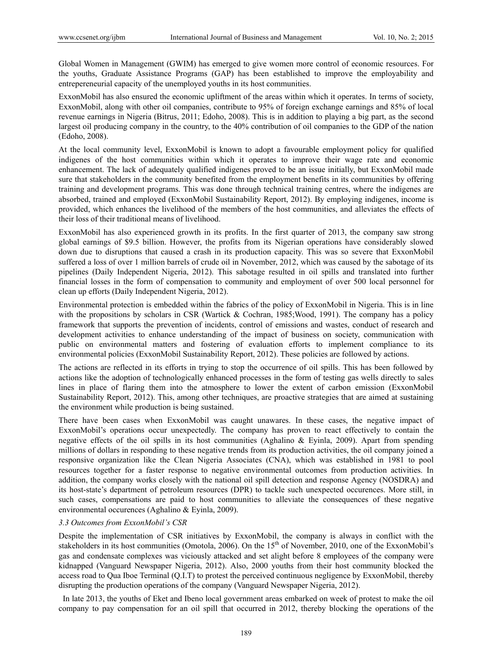Global Women in Management (GWIM) has emerged to give women more control of economic resources. For the youths, Graduate Assistance Programs (GAP) has been established to improve the employability and entrepereneurial capacity of the unemployed youths in its host communities.

ExxonMobil has also ensured the economic upliftment of the areas within which it operates. In terms of society, ExxonMobil, along with other oil companies, contribute to 95% of foreign exchange earnings and 85% of local revenue earnings in Nigeria (Bitrus, 2011; Edoho, 2008). This is in addition to playing a big part, as the second largest oil producing company in the country, to the 40% contribution of oil companies to the GDP of the nation (Edoho, 2008).

At the local community level, ExxonMobil is known to adopt a favourable employment policy for qualified indigenes of the host communities within which it operates to improve their wage rate and economic enhancement. The lack of adequately qualified indigenes proved to be an issue initially, but ExxonMobil made sure that stakeholders in the community benefited from the employment benefits in its communities by offering training and development programs. This was done through technical training centres, where the indigenes are absorbed, trained and employed (ExxonMobil Sustainability Report, 2012). By employing indigenes, income is provided, which enhances the livelihood of the members of the host communities, and alleviates the effects of their loss of their traditional means of livelihood.

ExxonMobil has also experienced growth in its profits. In the first quarter of 2013, the company saw strong global earnings of \$9.5 billion. However, the profits from its Nigerian operations have considerably slowed down due to disruptions that caused a crash in its production capacity. This was so severe that ExxonMobil suffered a loss of over 1 million barrels of crude oil in November, 2012, which was caused by the sabotage of its pipelines (Daily Independent Nigeria, 2012). This sabotage resulted in oil spills and translated into further financial losses in the form of compensation to community and employment of over 500 local personnel for clean up efforts (Daily Independent Nigeria, 2012).

Environmental protection is embedded within the fabrics of the policy of ExxonMobil in Nigeria. This is in line with the propositions by scholars in CSR (Wartick & Cochran, 1985; Wood, 1991). The company has a policy framework that supports the prevention of incidents, control of emissions and wastes, conduct of research and development activities to enhance understanding of the impact of business on society, communication with public on environmental matters and fostering of evaluation efforts to implement compliance to its environmental policies (ExxonMobil Sustainability Report, 2012). These policies are followed by actions.

The actions are reflected in its efforts in trying to stop the occurrence of oil spills. This has been followed by actions like the adoption of technologically enhanced processes in the form of testing gas wells directly to sales lines in place of flaring them into the atmosphere to lower the extent of carbon emission (ExxonMobil Sustainability Report, 2012). This, among other techniques, are proactive strategies that are aimed at sustaining the environment while production is being sustained.

There have been cases when ExxonMobil was caught unawares. In these cases, the negative impact of ExxonMobil's operations occur unexpectedly. The company has proven to react effectively to contain the negative effects of the oil spills in its host communities (Aghalino & Eyinla, 2009). Apart from spending millions of dollars in responding to these negative trends from its production activities, the oil company joined a responsive organization like the Clean Nigeria Associates (CNA), which was established in 1981 to pool resources together for a faster response to negative environmental outcomes from production activities. In addition, the company works closely with the national oil spill detection and response Agency (NOSDRA) and its host-state's department of petroleum resources (DPR) to tackle such unexpected occurences. More still, in such cases, compensations are paid to host communities to alleviate the consequences of these negative environmental occurences (Aghalino & Eyinla, 2009).

#### *3.3 Outcomes from ExxonMobil's CSR*

Despite the implementation of CSR initiatives by ExxonMobil, the company is always in conflict with the stakeholders in its host communities (Omotola, 2006). On the 15<sup>th</sup> of November, 2010, one of the ExxonMobil's gas and condensate complexes was viciously attacked and set alight before 8 employees of the company were kidnapped (Vanguard Newspaper Nigeria, 2012). Also, 2000 youths from their host community blocked the access road to Qua Iboe Terminal (Q.I.T) to protest the perceived continuous negligence by ExxonMobil, thereby disrupting the production operations of the company (Vanguard Newspaper Nigeria, 2012).

 In late 2013, the youths of Eket and Ibeno local government areas embarked on week of protest to make the oil company to pay compensation for an oil spill that occurred in 2012, thereby blocking the operations of the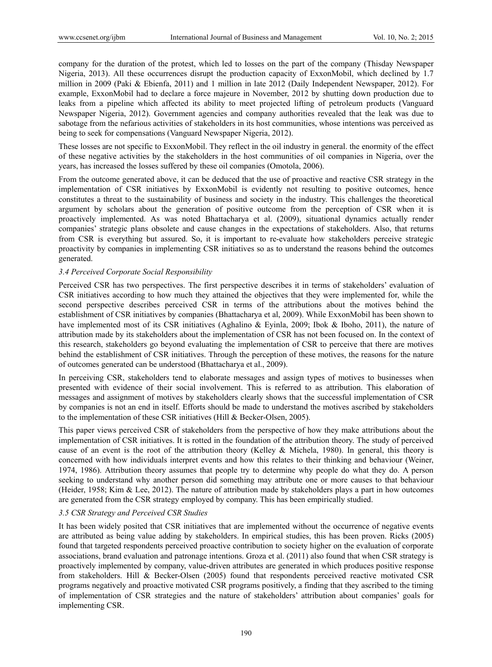company for the duration of the protest, which led to losses on the part of the company (Thisday Newspaper Nigeria, 2013). All these occurrences disrupt the production capacity of ExxonMobil, which declined by 1.7 million in 2009 (Paki & Ebienfa, 2011) and 1 million in late 2012 (Daily Independent Newspaper, 2012). For example, ExxonMobil had to declare a force majeure in November, 2012 by shutting down production due to leaks from a pipeline which affected its ability to meet projected lifting of petroleum products (Vanguard Newspaper Nigeria, 2012). Government agencies and company authorities revealed that the leak was due to sabotage from the nefarious activities of stakeholders in its host communities, whose intentions was perceived as being to seek for compensations (Vanguard Newspaper Nigeria, 2012).

These losses are not specific to ExxonMobil. They reflect in the oil industry in general. the enormity of the effect of these negative activities by the stakeholders in the host communities of oil companies in Nigeria, over the years, has increased the losses suffered by these oil companies (Omotola, 2006).

From the outcome generated above, it can be deduced that the use of proactive and reactive CSR strategy in the implementation of CSR initiatives by ExxonMobil is evidently not resulting to positive outcomes, hence constitutes a threat to the sustainability of business and society in the industry. This challenges the theoretical argument by scholars about the generation of positive outcome from the perception of CSR when it is proactively implemented. As was noted Bhattacharya et al. (2009), situational dynamics actually render companies' strategic plans obsolete and cause changes in the expectations of stakeholders. Also, that returns from CSR is everything but assured. So, it is important to re-evaluate how stakeholders perceive strategic proactivity by companies in implementing CSR initiatives so as to understand the reasons behind the outcomes generated.

## *3.4 Perceived Corporate Social Responsibility*

Perceived CSR has two perspectives. The first perspective describes it in terms of stakeholders' evaluation of CSR initiatives according to how much they attained the objectives that they were implemented for, while the second perspective describes perceived CSR in terms of the attributions about the motives behind the establishment of CSR initiatives by companies (Bhattacharya et al, 2009). While ExxonMobil has been shown to have implemented most of its CSR initiatives (Aghalino & Eyinla, 2009; Ibok & Iboho, 2011), the nature of attribution made by its stakeholders about the implementation of CSR has not been focused on. In the context of this research, stakeholders go beyond evaluating the implementation of CSR to perceive that there are motives behind the establishment of CSR initiatives. Through the perception of these motives, the reasons for the nature of outcomes generated can be understood (Bhattacharya et al., 2009).

In perceiving CSR, stakeholders tend to elaborate messages and assign types of motives to businesses when presented with evidence of their social involvement. This is referred to as attribution. This elaboration of messages and assignment of motives by stakeholders clearly shows that the successful implementation of CSR by companies is not an end in itself. Efforts should be made to understand the motives ascribed by stakeholders to the implementation of these CSR initiatives (Hill & Becker-Olsen, 2005).

This paper views perceived CSR of stakeholders from the perspective of how they make attributions about the implementation of CSR initiatives. It is rotted in the foundation of the attribution theory. The study of perceived cause of an event is the root of the attribution theory (Kelley & Michela, 1980). In general, this theory is concerned with how individuals interpret events and how this relates to their thinking and behaviour (Weiner, 1974, 1986). Attribution theory assumes that people try to determine why people do what they do. A person seeking to understand why another person did something may attribute one or more causes to that behaviour (Heider, 1958; Kim & Lee, 2012). The nature of attribution made by stakeholders plays a part in how outcomes are generated from the CSR strategy employed by company. This has been empirically studied.

## *3.5 CSR Strategy and Perceived CSR Studies*

It has been widely posited that CSR initiatives that are implemented without the occurrence of negative events are attributed as being value adding by stakeholders. In empirical studies, this has been proven. Ricks (2005) found that targeted respondents perceived proactive contribution to society higher on the evaluation of corporate associations, brand evaluation and patronage intentions. Groza et al. (2011) also found that when CSR strategy is proactively implemented by company, value-driven attributes are generated in which produces positive response from stakeholders. Hill & Becker-Olsen (2005) found that respondents perceived reactive motivated CSR programs negatively and proactive motivated CSR programs positively, a finding that they ascribed to the timing of implementation of CSR strategies and the nature of stakeholders' attribution about companies' goals for implementing CSR.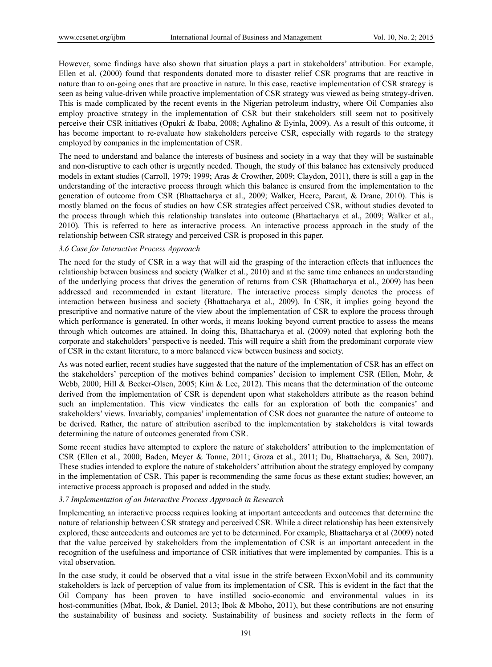However, some findings have also shown that situation plays a part in stakeholders' attribution. For example, Ellen et al. (2000) found that respondents donated more to disaster relief CSR programs that are reactive in nature than to on-going ones that are proactive in nature. In this case, reactive implementation of CSR strategy is seen as being value-driven while proactive implementation of CSR strategy was viewed as being strategy-driven. This is made complicated by the recent events in the Nigerian petroleum industry, where Oil Companies also employ proactive strategy in the implementation of CSR but their stakeholders still seem not to positively perceive their CSR initiatives (Opukri & Ibaba, 2008; Aghalino & Eyinla, 2009). As a result of this outcome, it has become important to re-evaluate how stakeholders perceive CSR, especially with regards to the strategy employed by companies in the implementation of CSR.

The need to understand and balance the interests of business and society in a way that they will be sustainable and non-disruptive to each other is urgently needed. Though, the study of this balance has extensively produced models in extant studies (Carroll, 1979; 1999; Aras & Crowther, 2009; Claydon, 2011), there is still a gap in the understanding of the interactive process through which this balance is ensured from the implementation to the generation of outcome from CSR (Bhattacharya et al., 2009; Walker, Heere, Parent, & Drane, 2010). This is mostly blamed on the focus of studies on how CSR strategies affect perceived CSR, without studies devoted to the process through which this relationship translates into outcome (Bhattacharya et al., 2009; Walker et al., 2010). This is referred to here as interactive process. An interactive process approach in the study of the relationship between CSR strategy and perceived CSR is proposed in this paper.

#### *3.6 Case for Interactive Process Approach*

The need for the study of CSR in a way that will aid the grasping of the interaction effects that influences the relationship between business and society (Walker et al., 2010) and at the same time enhances an understanding of the underlying process that drives the generation of returns from CSR (Bhattacharya et al., 2009) has been addressed and recommended in extant literature. The interactive process simply denotes the process of interaction between business and society (Bhattacharya et al., 2009). In CSR, it implies going beyond the prescriptive and normative nature of the view about the implementation of CSR to explore the process through which performance is generated. In other words, it means looking beyond current practice to assess the means through which outcomes are attained. In doing this, Bhattacharya et al. (2009) noted that exploring both the corporate and stakeholders' perspective is needed. This will require a shift from the predominant corporate view of CSR in the extant literature, to a more balanced view between business and society.

As was noted earlier, recent studies have suggested that the nature of the implementation of CSR has an effect on the stakeholders' perception of the motives behind companies' decision to implement CSR (Ellen, Mohr, & Webb, 2000; Hill & Becker-Olsen, 2005; Kim & Lee, 2012). This means that the determination of the outcome derived from the implementation of CSR is dependent upon what stakeholders attribute as the reason behind such an implementation. This view vindicates the calls for an exploration of both the companies' and stakeholders' views. Invariably, companies' implementation of CSR does not guarantee the nature of outcome to be derived. Rather, the nature of attribution ascribed to the implementation by stakeholders is vital towards determining the nature of outcomes generated from CSR.

Some recent studies have attempted to explore the nature of stakeholders' attribution to the implementation of CSR (Ellen et al., 2000; Baden, Meyer & Tonne, 2011; Groza et al., 2011; Du, Bhattacharya, & Sen, 2007). These studies intended to explore the nature of stakeholders' attribution about the strategy employed by company in the implementation of CSR. This paper is recommending the same focus as these extant studies; however, an interactive process approach is proposed and added in the study.

#### *3.7 Implementation of an Interactive Process Approach in Research*

Implementing an interactive process requires looking at important antecedents and outcomes that determine the nature of relationship between CSR strategy and perceived CSR. While a direct relationship has been extensively explored, these antecedents and outcomes are yet to be determined. For example, Bhattacharya et al (2009) noted that the value perceived by stakeholders from the implementation of CSR is an important antecedent in the recognition of the usefulness and importance of CSR initiatives that were implemented by companies. This is a vital observation.

In the case study, it could be observed that a vital issue in the strife between ExxonMobil and its community stakeholders is lack of perception of value from its implementation of CSR. This is evident in the fact that the Oil Company has been proven to have instilled socio-economic and environmental values in its host-communities (Mbat, Ibok, & Daniel, 2013; Ibok & Mboho, 2011), but these contributions are not ensuring the sustainability of business and society. Sustainability of business and society reflects in the form of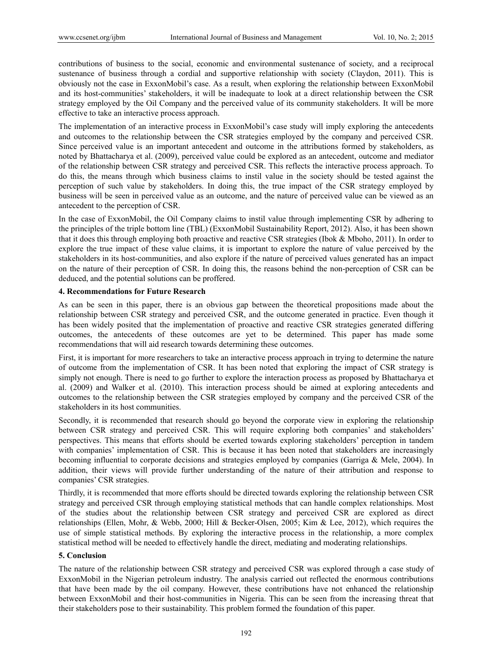contributions of business to the social, economic and environmental sustenance of society, and a reciprocal sustenance of business through a cordial and supportive relationship with society (Claydon, 2011). This is obviously not the case in ExxonMobil's case. As a result, when exploring the relationship between ExxonMobil and its host-communities' stakeholders, it will be inadequate to look at a direct relationship between the CSR strategy employed by the Oil Company and the perceived value of its community stakeholders. It will be more effective to take an interactive process approach.

The implementation of an interactive process in ExxonMobil's case study will imply exploring the antecedents and outcomes to the relationship between the CSR strategies employed by the company and perceived CSR. Since perceived value is an important antecedent and outcome in the attributions formed by stakeholders, as noted by Bhattacharya et al. (2009), perceived value could be explored as an antecedent, outcome and mediator of the relationship between CSR strategy and perceived CSR. This reflects the interactive process approach. To do this, the means through which business claims to instil value in the society should be tested against the perception of such value by stakeholders. In doing this, the true impact of the CSR strategy employed by business will be seen in perceived value as an outcome, and the nature of perceived value can be viewed as an antecedent to the perception of CSR.

In the case of ExxonMobil, the Oil Company claims to instil value through implementing CSR by adhering to the principles of the triple bottom line (TBL) (ExxonMobil Sustainability Report, 2012). Also, it has been shown that it does this through employing both proactive and reactive CSR strategies (Ibok & Mboho, 2011). In order to explore the true impact of these value claims, it is important to explore the nature of value perceived by the stakeholders in its host-communities, and also explore if the nature of perceived values generated has an impact on the nature of their perception of CSR. In doing this, the reasons behind the non-perception of CSR can be deduced, and the potential solutions can be proffered.

## **4. Recommendations for Future Research**

As can be seen in this paper, there is an obvious gap between the theoretical propositions made about the relationship between CSR strategy and perceived CSR, and the outcome generated in practice. Even though it has been widely posited that the implementation of proactive and reactive CSR strategies generated differing outcomes, the antecedents of these outcomes are yet to be determined. This paper has made some recommendations that will aid research towards determining these outcomes.

First, it is important for more researchers to take an interactive process approach in trying to determine the nature of outcome from the implementation of CSR. It has been noted that exploring the impact of CSR strategy is simply not enough. There is need to go further to explore the interaction process as proposed by Bhattacharya et al. (2009) and Walker et al. (2010). This interaction process should be aimed at exploring antecedents and outcomes to the relationship between the CSR strategies employed by company and the perceived CSR of the stakeholders in its host communities.

Secondly, it is recommended that research should go beyond the corporate view in exploring the relationship between CSR strategy and perceived CSR. This will require exploring both companies' and stakeholders' perspectives. This means that efforts should be exerted towards exploring stakeholders' perception in tandem with companies' implementation of CSR. This is because it has been noted that stakeholders are increasingly becoming influential to corporate decisions and strategies employed by companies (Garriga & Mele, 2004). In addition, their views will provide further understanding of the nature of their attribution and response to companies' CSR strategies.

Thirdly, it is recommended that more efforts should be directed towards exploring the relationship between CSR strategy and perceived CSR through employing statistical methods that can handle complex relationships. Most of the studies about the relationship between CSR strategy and perceived CSR are explored as direct relationships (Ellen, Mohr, & Webb, 2000; Hill & Becker-Olsen, 2005; Kim & Lee, 2012), which requires the use of simple statistical methods. By exploring the interactive process in the relationship, a more complex statistical method will be needed to effectively handle the direct, mediating and moderating relationships.

# **5. Conclusion**

The nature of the relationship between CSR strategy and perceived CSR was explored through a case study of ExxonMobil in the Nigerian petroleum industry. The analysis carried out reflected the enormous contributions that have been made by the oil company. However, these contributions have not enhanced the relationship between ExxonMobil and their host-communities in Nigeria. This can be seen from the increasing threat that their stakeholders pose to their sustainability. This problem formed the foundation of this paper.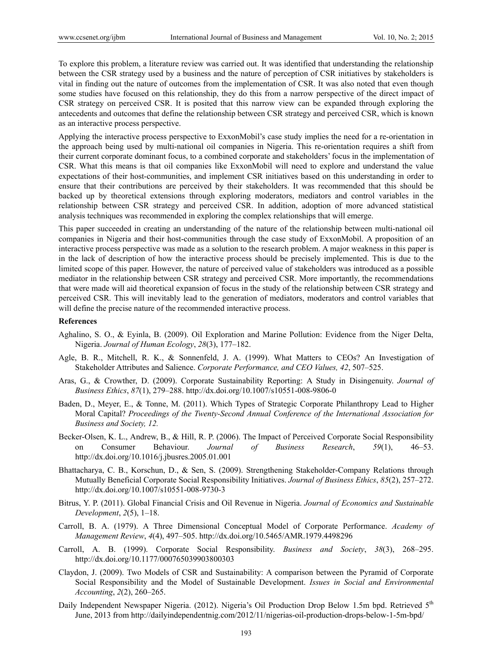To explore this problem, a literature review was carried out. It was identified that understanding the relationship between the CSR strategy used by a business and the nature of perception of CSR initiatives by stakeholders is vital in finding out the nature of outcomes from the implementation of CSR. It was also noted that even though some studies have focused on this relationship, they do this from a narrow perspective of the direct impact of CSR strategy on perceived CSR. It is posited that this narrow view can be expanded through exploring the antecedents and outcomes that define the relationship between CSR strategy and perceived CSR, which is known as an interactive process perspective.

Applying the interactive process perspective to ExxonMobil's case study implies the need for a re-orientation in the approach being used by multi-national oil companies in Nigeria. This re-orientation requires a shift from their current corporate dominant focus, to a combined corporate and stakeholders' focus in the implementation of CSR. What this means is that oil companies like ExxonMobil will need to explore and understand the value expectations of their host-communities, and implement CSR initiatives based on this understanding in order to ensure that their contributions are perceived by their stakeholders. It was recommended that this should be backed up by theoretical extensions through exploring moderators, mediators and control variables in the relationship between CSR strategy and perceived CSR. In addition, adoption of more advanced statistical analysis techniques was recommended in exploring the complex relationships that will emerge.

This paper succeeded in creating an understanding of the nature of the relationship between multi-national oil companies in Nigeria and their host-communities through the case study of ExxonMobil. A proposition of an interactive process perspective was made as a solution to the research problem. A major weakness in this paper is in the lack of description of how the interactive process should be precisely implemented. This is due to the limited scope of this paper. However, the nature of perceived value of stakeholders was introduced as a possible mediator in the relationship between CSR strategy and perceived CSR. More importantly, the recommendations that were made will aid theoretical expansion of focus in the study of the relationship between CSR strategy and perceived CSR. This will inevitably lead to the generation of mediators, moderators and control variables that will define the precise nature of the recommended interactive process.

#### **References**

- Aghalino, S. O., & Eyinla, B. (2009). Oil Exploration and Marine Pollution: Evidence from the Niger Delta, Nigeria. *Journal of Human Ecology*, *28*(3), 177–182.
- Agle, B. R., Mitchell, R. K., & Sonnenfeld, J. A. (1999). What Matters to CEOs? An Investigation of Stakeholder Attributes and Salience. *Corporate Performance, and CEO Values, 42*, 507–525.
- Aras, G., & Crowther, D. (2009). Corporate Sustainability Reporting: A Study in Disingenuity. *Journal of Business Ethics*, *87*(1), 279–288. http://dx.doi.org/10.1007/s10551-008-9806-0
- Baden, D., Meyer, E., & Tonne, M. (2011). Which Types of Strategic Corporate Philanthropy Lead to Higher Moral Capital? *Proceedings of the Twenty-Second Annual Conference of the International Association for Business and Society, 12.*
- Becker-Olsen, K. L., Andrew, B., & Hill, R. P. (2006). The Impact of Perceived Corporate Social Responsibility on Consumer Behaviour. *Journal of Business Research*, *59*(1), 46–53. http://dx.doi.org/10.1016/j.jbusres.2005.01.001
- Bhattacharya, C. B., Korschun, D., & Sen, S. (2009). Strengthening Stakeholder-Company Relations through Mutually Beneficial Corporate Social Responsibility Initiatives. *Journal of Business Ethics*, *85*(2), 257–272. http://dx.doi.org/10.1007/s10551-008-9730-3
- Bitrus, Y. P. (2011). Global Financial Crisis and Oil Revenue in Nigeria. *Journal of Economics and Sustainable Development*, *2*(5), 1–18.
- Carroll, B. A. (1979). A Three Dimensional Conceptual Model of Corporate Performance. *Academy of Management Review*, *4*(4), 497–505. http://dx.doi.org/10.5465/AMR.1979.4498296
- Carroll, A. B. (1999). Corporate Social Responsibility. *Business and Society*, *38*(3), 268–295. http://dx.doi.org/10.1177/000765039903800303
- Claydon, J. (2009). Two Models of CSR and Sustainability: A comparison between the Pyramid of Corporate Social Responsibility and the Model of Sustainable Development. *Issues in Social and Environmental Accounting*, *2*(2), 260–265.
- Daily Independent Newspaper Nigeria. (2012). Nigeria's Oil Production Drop Below 1.5m bpd. Retrieved 5<sup>th</sup> June, 2013 from http://dailyindependentnig.com/2012/11/nigerias-oil-production-drops-below-1-5m-bpd/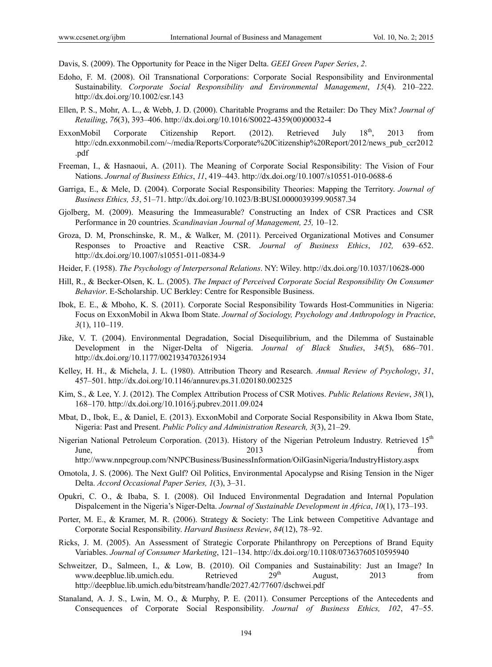Davis, S. (2009). The Opportunity for Peace in the Niger Delta. *GEEI Green Paper Series*, *2*.

- Edoho, F. M. (2008). Oil Transnational Corporations: Corporate Social Responsibility and Environmental Sustainability. *Corporate Social Responsibility and Environmental Management*, *15*(4). 210–222. http://dx.doi.org/10.1002/csr.143
- Ellen, P. S., Mohr, A. L., & Webb, J. D. (2000). Charitable Programs and the Retailer: Do They Mix? *Journal of Retailing*, *76*(3), 393–406. http://dx.doi.org/10.1016/S0022-4359(00)00032-4
- ExxonMobil Corporate Citizenship Report. (2012). Retrieved July  $18<sup>th</sup>$ , 2013 from http://cdn.exxonmobil.com/~/media/Reports/Corporate%20Citizenship%20Report/2012/news\_pub\_ccr2012 .pdf
- Freeman, I., & Hasnaoui, A. (2011). The Meaning of Corporate Social Responsibility: The Vision of Four Nations. *Journal of Business Ethics*, *11*, 419–443. http://dx.doi.org/10.1007/s10551-010-0688-6
- Garriga, E., & Mele, D. (2004). Corporate Social Responsibility Theories: Mapping the Territory. *Journal of Business Ethics, 53*, 51–71. http://dx.doi.org/10.1023/B:BUSI.0000039399.90587.34
- Gjolberg, M. (2009). Measuring the Immeasurable? Constructing an Index of CSR Practices and CSR Performance in 20 countries. *Scandinavian Journal of Management, 25,* 10–12.
- Groza, D. M, Pronschinske, R. M., & Walker, M. (2011). Perceived Organizational Motives and Consumer Responses to Proactive and Reactive CSR. *Journal of Business Ethics*, *102,* 639–652. http://dx.doi.org/10.1007/s10551-011-0834-9
- Heider, F. (1958). *The Psychology of Interpersonal Relations*. NY: Wiley. http://dx.doi.org/10.1037/10628-000
- Hill, R., & Becker-Olsen, K. L. (2005). *The Impact of Perceived Corporate Social Responsibility On Consumer Behavior*. E-Scholarship. UC Berkley: Centre for Responsible Business.
- Ibok, E. E., & Mboho, K. S. (2011). Corporate Social Responsibility Towards Host-Communities in Nigeria: Focus on ExxonMobil in Akwa Ibom State. *Journal of Sociology, Psychology and Anthropology in Practice*, *3*(1), 110–119.
- Jike, V. T. (2004). Environmental Degradation, Social Disequilibrium, and the Dilemma of Sustainable Development in the Niger-Delta of Nigeria. *Journal of Black Studies*, *34*(5), 686–701. http://dx.doi.org/10.1177/0021934703261934
- Kelley, H. H., & Michela, J. L. (1980). Attribution Theory and Research. *Annual Review of Psychology*, *31*, 457–501. http://dx.doi.org/10.1146/annurev.ps.31.020180.002325
- Kim, S., & Lee, Y. J. (2012). The Complex Attribution Process of CSR Motives. *Public Relations Review*, *38*(1), 168–170. http://dx.doi.org/10.1016/j.pubrev.2011.09.024
- Mbat, D., Ibok, E., & Daniel, E. (2013). ExxonMobil and Corporate Social Responsibility in Akwa Ibom State, Nigeria: Past and Present. *Public Policy and Administration Research, 3*(3), 21–29.
- Nigerian National Petroleum Corporation. (2013). History of the Nigerian Petroleum Industry. Retrieved 15<sup>th</sup> June, 2013 from the set of the set of the set of the set of the set of the set of the set of the set of the set of the set of the set of the set of the set of the set of the set of the set of the set of the set of the set

http://www.nnpcgroup.com/NNPCBusiness/BusinessInformation/OilGasinNigeria/IndustryHistory.aspx

- Omotola, J. S. (2006). The Next Gulf? Oil Politics, Environmental Apocalypse and Rising Tension in the Niger Delta. *Accord Occasional Paper Series, 1*(3), 3–31.
- Opukri, C. O., & Ibaba, S. I. (2008). Oil Induced Environmental Degradation and Internal Population Dispalcement in the Nigeria's Niger-Delta. *Journal of Sustainable Development in Africa*, *10*(1), 173–193.
- Porter, M. E., & Kramer, M. R. (2006). Strategy & Society: The Link between Competitive Advantage and Corporate Social Responsibility. *Harvard Business Review*, *84*(12), 78–92.
- Ricks, J. M. (2005). An Assessment of Strategic Corporate Philanthropy on Perceptions of Brand Equity Variables. *Journal of Consumer Marketing*, 121–134. http://dx.doi.org/10.1108/07363760510595940
- Schweitzer, D., Salmeen, I., & Low, B. (2010). Oil Companies and Sustainability: Just an Image? In www.deepblue.lib.umich.edu. Retrieved 29<sup>th</sup> August. 2013 from www.deepblue.lib.umich.edu. Retrieved  $29<sup>th</sup>$  August, 2013 from http://deepblue.lib.umich.edu/bitstream/handle/2027.42/77607/dschwei.pdf
- Stanaland, A. J. S., Lwin, M. O., & Murphy, P. E. (2011). Consumer Perceptions of the Antecedents and Consequences of Corporate Social Responsibility. *Journal of Business Ethics, 102*, 47–55.